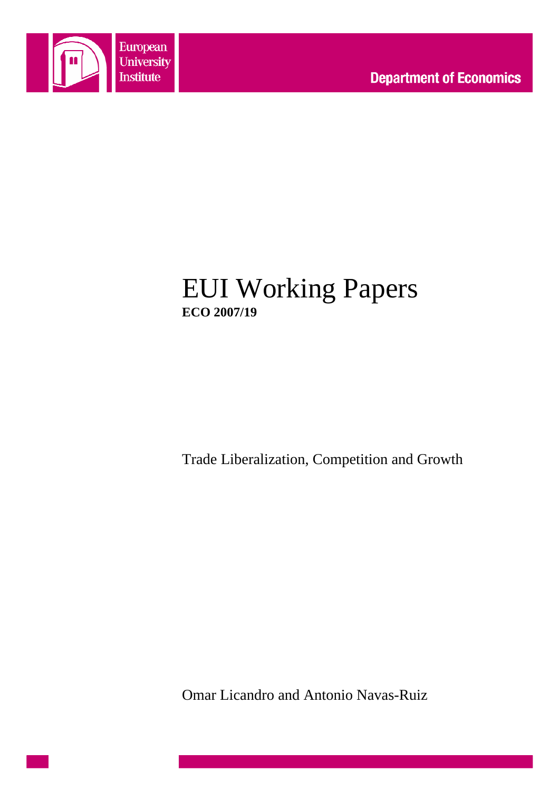

# EUI Working Papers **ECO 2007/19**

Trade Liberalization, Competition and Growth

Omar Licandro and Antonio Navas-Ruiz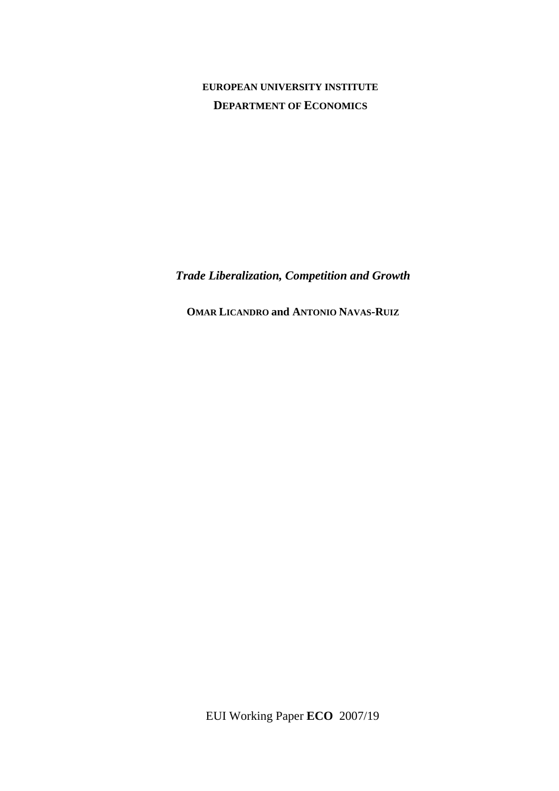### **EUROPEAN UNIVERSITY INSTITUTE DEPARTMENT OF ECONOMICS**

*Trade Liberalization, Competition and Growth* 

**OMAR LICANDRO and ANTONIO NAVAS-RUIZ**

EUI Working Paper **ECO** 2007/19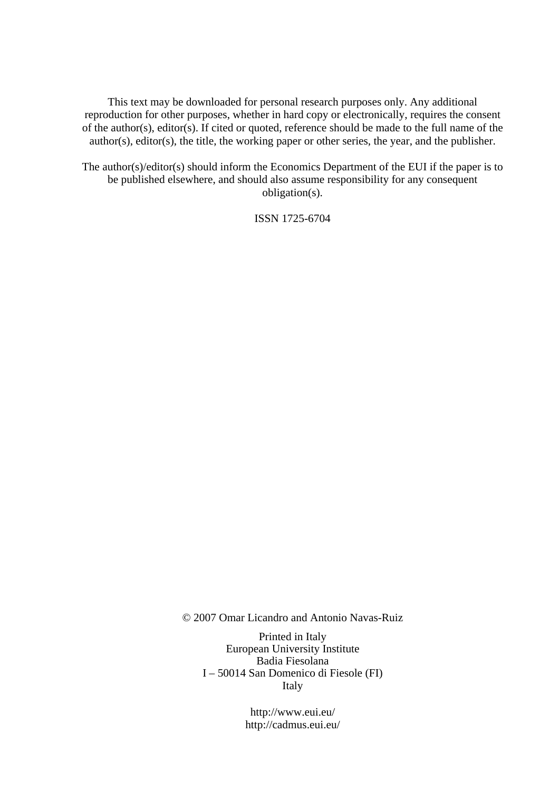This text may be downloaded for personal research purposes only. Any additional reproduction for other purposes, whether in hard copy or electronically, requires the consent of the author(s), editor(s). If cited or quoted, reference should be made to the full name of the author(s), editor(s), the title, the working paper or other series, the year, and the publisher.

The author(s)/editor(s) should inform the Economics Department of the EUI if the paper is to be published elsewhere, and should also assume responsibility for any consequent obligation(s).

ISSN 1725-6704

© 2007 Omar Licandro and Antonio Navas-Ruiz

Printed in Italy European University Institute Badia Fiesolana I – 50014 San Domenico di Fiesole (FI) Italy

> http://www.eui.eu/ http://cadmus.eui.eu/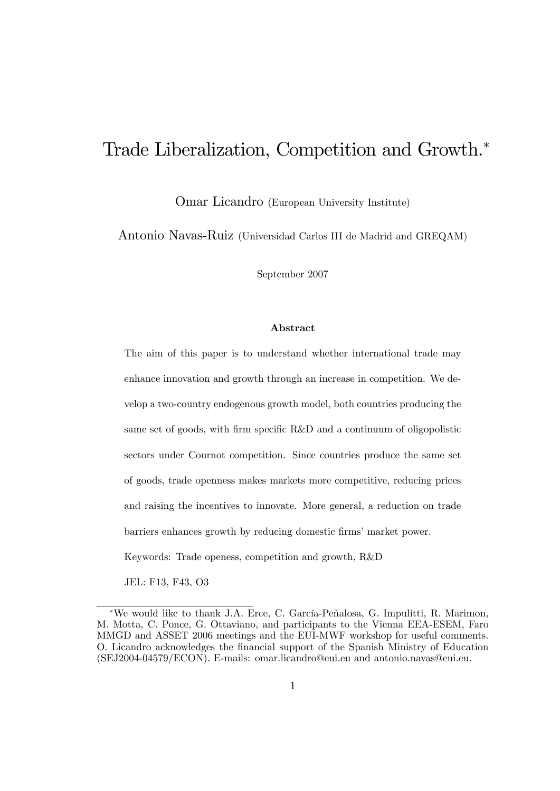# Trade Liberalization, Competition and Growth.

Omar Licandro (European University Institute)

Antonio Navas-Ruiz (Universidad Carlos III de Madrid and GREQAM)

September 2007

#### Abstract

The aim of this paper is to understand whether international trade may enhance innovation and growth through an increase in competition. We develop a two-country endogenous growth model, both countries producing the same set of goods, with firm specific  $R\&D$  and a continuum of oligopolistic sectors under Cournot competition. Since countries produce the same set of goods, trade openness makes markets more competitive, reducing prices and raising the incentives to innovate. More general, a reduction on trade barriers enhances growth by reducing domestic firms' market power. Keywords: Trade openess, competition and growth, R&D

JEL: F13, F43, O3

<sup>\*</sup>We would like to thank J.A. Erce, C. García-Peñalosa, G. Impulitti, R. Marimon, M. Motta, C. Ponce, G. Ottaviano, and participants to the Vienna EEA-ESEM, Faro MMGD and ASSET 2006 meetings and the EUI-MWF workshop for useful comments. O. Licandro acknowledges the Önancial support of the Spanish Ministry of Education (SEJ2004-04579/ECON). E-mails: omar.licandro@eui.eu and antonio.navas@eui.eu.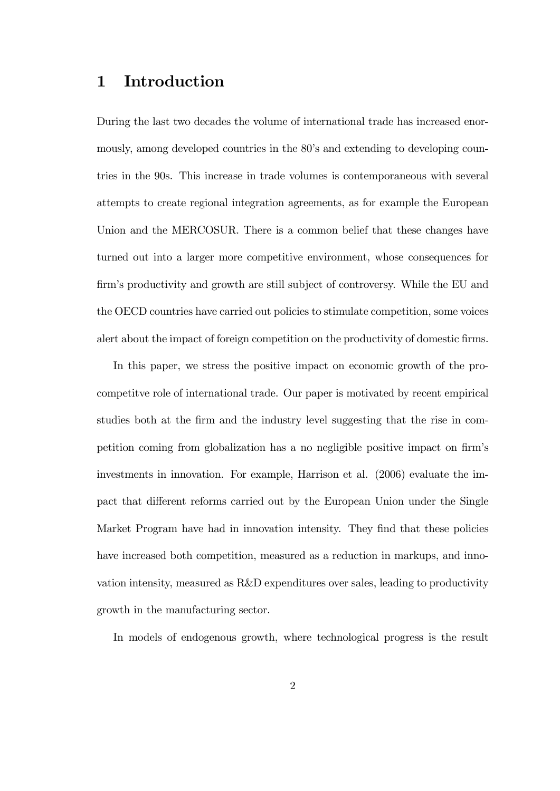# 1 Introduction

During the last two decades the volume of international trade has increased enormously, among developed countries in the 80's and extending to developing countries in the 90s. This increase in trade volumes is contemporaneous with several attempts to create regional integration agreements, as for example the European Union and the MERCOSUR. There is a common belief that these changes have turned out into a larger more competitive environment, whose consequences for firm's productivity and growth are still subject of controversy. While the EU and the OECD countries have carried out policies to stimulate competition, some voices alert about the impact of foreign competition on the productivity of domestic firms.

In this paper, we stress the positive impact on economic growth of the procompetitve role of international trade. Our paper is motivated by recent empirical studies both at the firm and the industry level suggesting that the rise in competition coming from globalization has a no negligible positive impact on firm's investments in innovation. For example, Harrison et al. (2006) evaluate the impact that different reforms carried out by the European Union under the Single Market Program have had in innovation intensity. They find that these policies have increased both competition, measured as a reduction in markups, and innovation intensity, measured as R&D expenditures over sales, leading to productivity growth in the manufacturing sector.

In models of endogenous growth, where technological progress is the result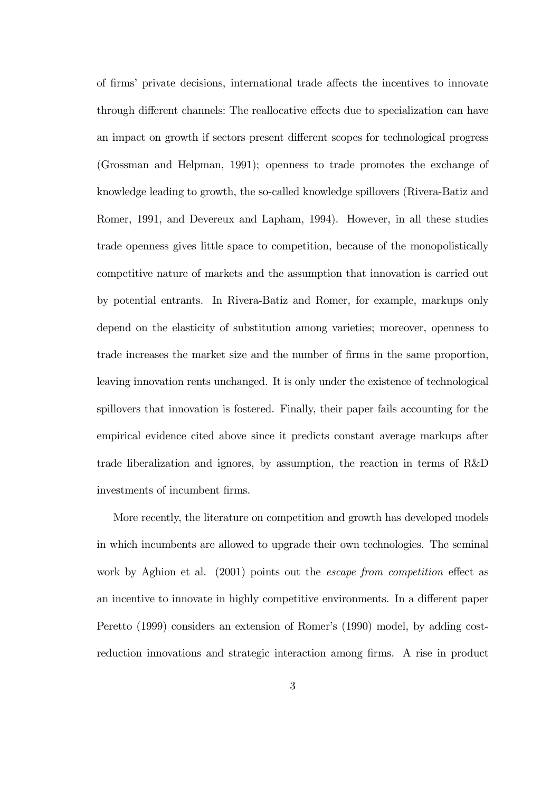of firms' private decisions, international trade affects the incentives to innovate through different channels: The reallocative effects due to specialization can have an impact on growth if sectors present different scopes for technological progress (Grossman and Helpman, 1991); openness to trade promotes the exchange of knowledge leading to growth, the so-called knowledge spillovers (Rivera-Batiz and Romer, 1991, and Devereux and Lapham, 1994). However, in all these studies trade openness gives little space to competition, because of the monopolistically competitive nature of markets and the assumption that innovation is carried out by potential entrants. In Rivera-Batiz and Romer, for example, markups only depend on the elasticity of substitution among varieties; moreover, openness to trade increases the market size and the number of firms in the same proportion, leaving innovation rents unchanged. It is only under the existence of technological spillovers that innovation is fostered. Finally, their paper fails accounting for the empirical evidence cited above since it predicts constant average markups after trade liberalization and ignores, by assumption, the reaction in terms of R&D investments of incumbent firms.

More recently, the literature on competition and growth has developed models in which incumbents are allowed to upgrade their own technologies. The seminal work by Aghion et al.  $(2001)$  points out the *escape from competition* effect as an incentive to innovate in highly competitive environments. In a different paper Peretto (1999) considers an extension of Romer's (1990) model, by adding costreduction innovations and strategic interaction among firms. A rise in product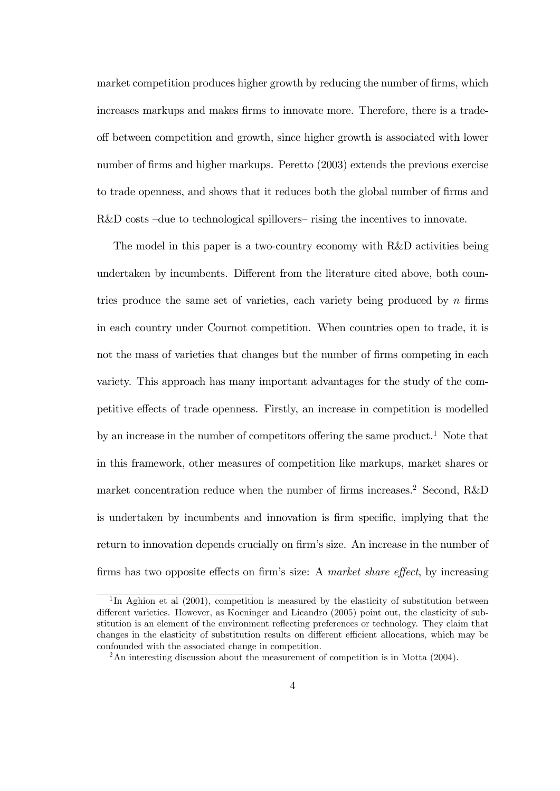market competition produces higher growth by reducing the number of firms, which increases markups and makes firms to innovate more. Therefore, there is a tradeo§ between competition and growth, since higher growth is associated with lower number of firms and higher markups. Peretto (2003) extends the previous exercise to trade openness, and shows that it reduces both the global number of firms and  $R&D$  costs  $-due$  to technological spillovers– rising the incentives to innovate.

The model in this paper is a two-country economy with R&D activities being undertaken by incumbents. Different from the literature cited above, both countries produce the same set of varieties, each variety being produced by  $n$  firms in each country under Cournot competition. When countries open to trade, it is not the mass of varieties that changes but the number of firms competing in each variety. This approach has many important advantages for the study of the competitive effects of trade openness. Firstly, an increase in competition is modelled by an increase in the number of competitors offering the same product.<sup>1</sup> Note that in this framework, other measures of competition like markups, market shares or market concentration reduce when the number of firms increases.<sup>2</sup> Second, R&D is undertaken by incumbents and innovation is firm specific, implying that the return to innovation depends crucially on firm's size. An increase in the number of firms has two opposite effects on firm's size: A market share effect, by increasing

<sup>&</sup>lt;sup>1</sup>In Aghion et al (2001), competition is measured by the elasticity of substitution between different varieties. However, as Koeninger and Licandro (2005) point out, the elasticity of substitution is an element of the environment reflecting preferences or technology. They claim that changes in the elasticity of substitution results on different efficient allocations, which may be confounded with the associated change in competition.

<sup>&</sup>lt;sup>2</sup>An interesting discussion about the measurement of competition is in Motta (2004).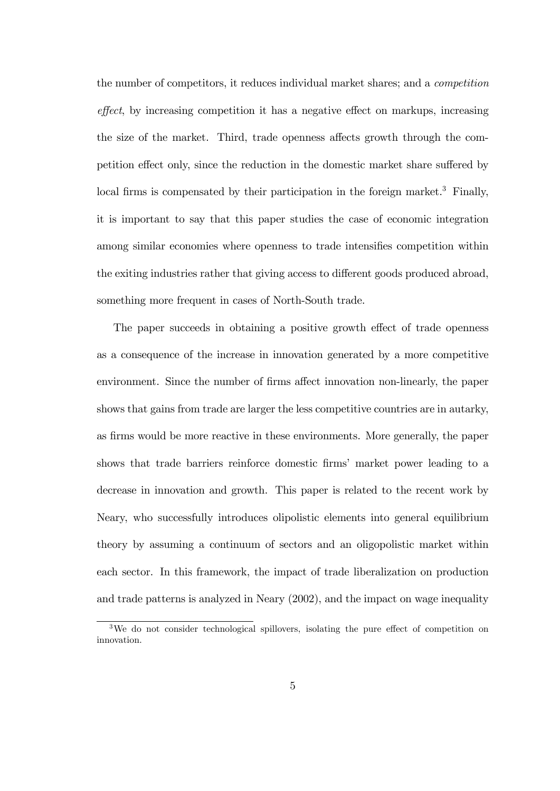the number of competitors, it reduces individual market shares; and a competition effect, by increasing competition it has a negative effect on markups, increasing the size of the market. Third, trade openness affects growth through the competition effect only, since the reduction in the domestic market share suffered by local firms is compensated by their participation in the foreign market.<sup>3</sup> Finally, it is important to say that this paper studies the case of economic integration among similar economies where openness to trade intensifies competition within the exiting industries rather that giving access to different goods produced abroad, something more frequent in cases of North-South trade.

The paper succeeds in obtaining a positive growth effect of trade openness as a consequence of the increase in innovation generated by a more competitive environment. Since the number of firms affect innovation non-linearly, the paper shows that gains from trade are larger the less competitive countries are in autarky, as firms would be more reactive in these environments. More generally, the paper shows that trade barriers reinforce domestic firms' market power leading to a decrease in innovation and growth. This paper is related to the recent work by Neary, who successfully introduces olipolistic elements into general equilibrium theory by assuming a continuum of sectors and an oligopolistic market within each sector. In this framework, the impact of trade liberalization on production and trade patterns is analyzed in Neary (2002), and the impact on wage inequality

 $3$ We do not consider technological spillovers, isolating the pure effect of competition on innovation.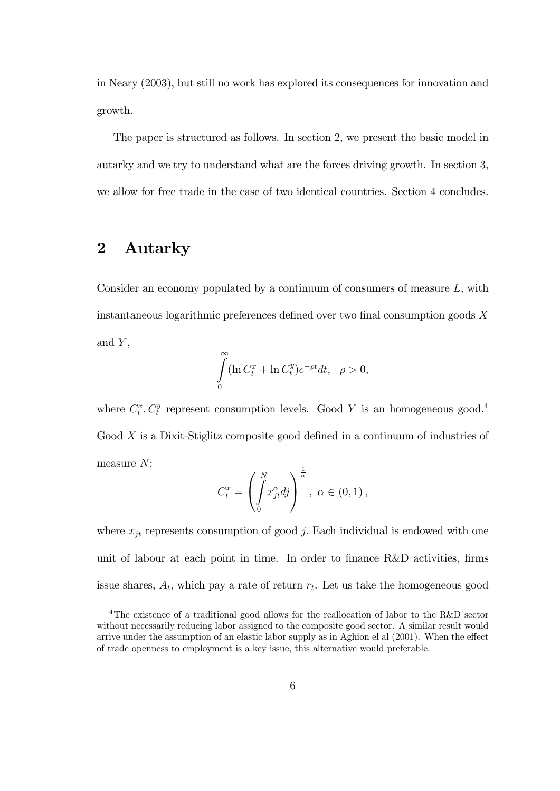in Neary (2003), but still no work has explored its consequences for innovation and growth.

The paper is structured as follows. In section 2, we present the basic model in autarky and we try to understand what are the forces driving growth. In section 3, we allow for free trade in the case of two identical countries. Section 4 concludes.

# 2 Autarky

Consider an economy populated by a continuum of consumers of measure  $L$ , with instantaneous logarithmic preferences defined over two final consumption goods  $X$ and  $Y$ ,

$$
\int_{0}^{\infty} (\ln C_t^x + \ln C_t^y) e^{-\rho t} dt, \quad \rho > 0,
$$

where  $C_t^x$ ,  $C_t^y$  represent consumption levels. Good Y is an homogeneous good.<sup>4</sup> Good  $X$  is a Dixit-Stiglitz composite good defined in a continuum of industries of measure N:

$$
C_t^x = \left(\int_0^N x_{jt}^\alpha dy\right)^{\frac{1}{\alpha}}, \ \alpha \in (0,1),
$$

where  $x_{it}$  represents consumption of good j. Each individual is endowed with one unit of labour at each point in time. In order to finance R&D activities, firms issue shares,  $A_t$ , which pay a rate of return  $r_t$ . Let us take the homogeneous good

<sup>4</sup>The existence of a traditional good allows for the reallocation of labor to the R&D sector without necessarily reducing labor assigned to the composite good sector. A similar result would arrive under the assumption of an elastic labor supply as in Aghion el al  $(2001)$ . When the effect of trade openness to employment is a key issue, this alternative would preferable.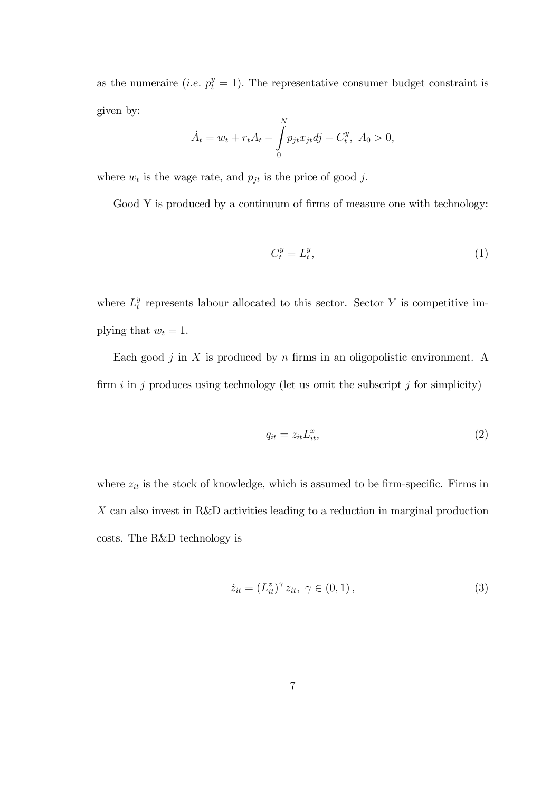as the numeraire (*i.e.*  $p_t^y = 1$ ). The representative consumer budget constraint is given by:

$$
\dot{A}_t = w_t + r_t A_t - \int_0^N p_{jt} x_{jt} dy - C_t^y, \ A_0 > 0,
$$

where  $w_t$  is the wage rate, and  $p_{jt}$  is the price of good j.

Good  $Y$  is produced by a continuum of firms of measure one with technology:

$$
C_t^y = L_t^y,\tag{1}
$$

where  $L_t^y$  $t<sub>t</sub><sup>y</sup>$  represents labour allocated to this sector. Sector Y is competitive implying that  $w_t = 1$ .

Each good  $j$  in  $X$  is produced by  $n$  firms in an oligopolistic environment. A firm  $i$  in  $j$  produces using technology (let us omit the subscript  $j$  for simplicity)

$$
q_{it} = z_{it} L_{it}^x,\tag{2}
$$

where  $z_{it}$  is the stock of knowledge, which is assumed to be firm-specific. Firms in X can also invest in R&D activities leading to a reduction in marginal production costs. The R&D technology is

$$
\dot{z}_{it} = (L_{it}^{z})^{\gamma} z_{it}, \ \gamma \in (0, 1), \tag{3}
$$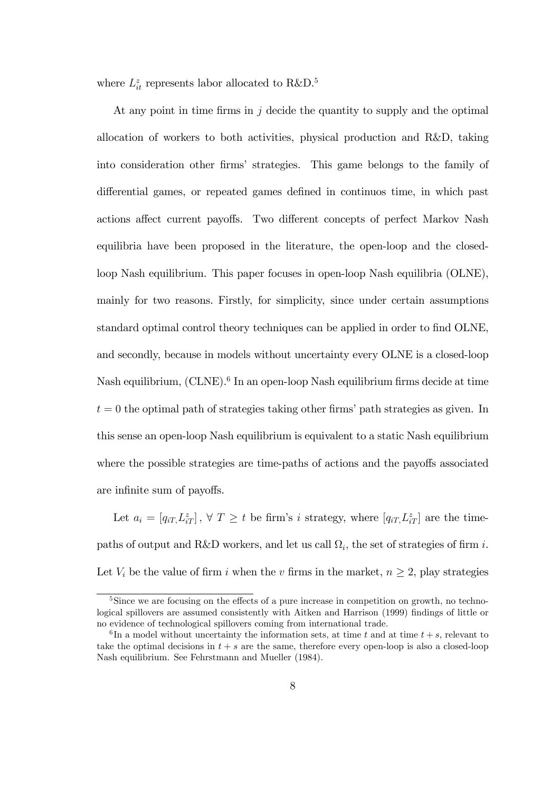where  $L_{it}^z$  represents labor allocated to  $R\&D$ .<sup>5</sup>

At any point in time firms in  $j$  decide the quantity to supply and the optimal allocation of workers to both activities, physical production and R&D, taking into consideration other Örmsí strategies. This game belongs to the family of differential games, or repeated games defined in continuos time, in which past actions affect current payoffs. Two different concepts of perfect Markov Nash equilibria have been proposed in the literature, the open-loop and the closedloop Nash equilibrium. This paper focuses in open-loop Nash equilibria (OLNE), mainly for two reasons. Firstly, for simplicity, since under certain assumptions standard optimal control theory techniques can be applied in order to find OLNE, and secondly, because in models without uncertainty every OLNE is a closed-loop Nash equilibrium,  $\text{(CLNE)}$ .<sup>6</sup> In an open-loop Nash equilibrium firms decide at time  $t = 0$  the optimal path of strategies taking other firms' path strategies as given. In this sense an open-loop Nash equilibrium is equivalent to a static Nash equilibrium where the possible strategies are time-paths of actions and the payoffs associated are infinite sum of payoffs.

Let  $a_i = [q_{iT}, L_{iT}^z]$ ,  $\forall T \geq t$  be firm's *i* strategy, where  $[q_{iT}, L_{iT}^z]$  are the timepaths of output and R&D workers, and let us call  $\Omega_i$ , the set of strategies of firm i. Let  $V_i$  be the value of firm i when the v firms in the market,  $n \geq 2$ , play strategies

 $5Sine$  we are focusing on the effects of a pure increase in competition on growth, no technological spillovers are assumed consistently with Aitken and Harrison (1999) findings of little or no evidence of technological spillovers coming from international trade.

<sup>&</sup>lt;sup>6</sup>In a model without uncertainty the information sets, at time t and at time  $t + s$ , relevant to take the optimal decisions in  $t + s$  are the same, therefore every open-loop is also a closed-loop Nash equilibrium. See Fehrstmann and Mueller (1984).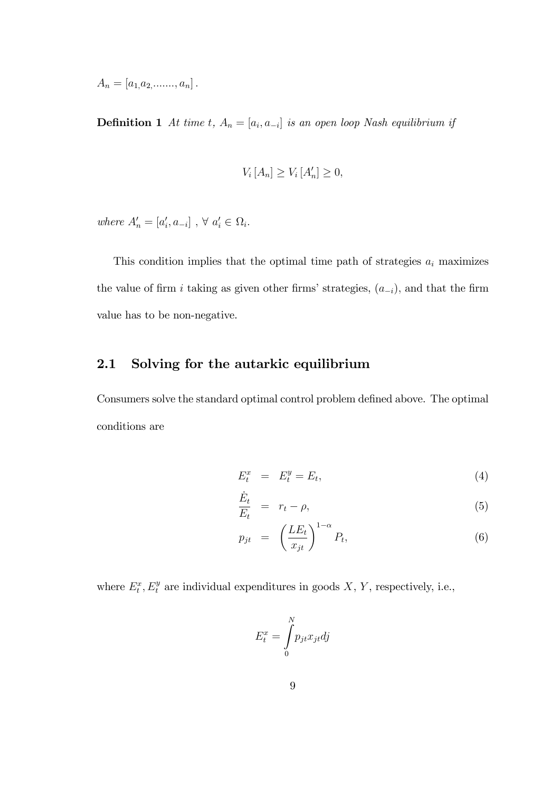$A_n = [a_{1,}a_2, \ldots, a_n].$ 

**Definition 1** At time t,  $A_n = [a_i, a_{-i}]$  is an open loop Nash equilibrium if

$$
V_i\left[A_n\right] \ge V_i\left[A'_n\right] \ge 0,
$$

where  $A'_n = [a'_i, a_{-i}]$ ,  $\forall a'_i \in \Omega_i$ .

This condition implies that the optimal time path of strategies  $a_i$  maximizes the value of firm i taking as given other firms' strategies,  $(a_{-i})$ , and that the firm value has to be non-negative.

#### 2.1 Solving for the autarkic equilibrium

Consumers solve the standard optimal control problem defined above. The optimal conditions are

$$
E_t^x = E_t^y = E_t,\t\t(4)
$$

$$
\frac{\dot{E}_t}{E_t} = r_t - \rho,\tag{5}
$$

$$
p_{jt} = \left(\frac{LE_t}{x_{jt}}\right)^{1-\alpha} P_t, \tag{6}
$$

where  $E_t^x$ ,  $E_t^y$  are individual expenditures in goods X, Y, respectively, i.e.,

$$
E_t^x = \int_0^N p_{jt} x_{jt} dj
$$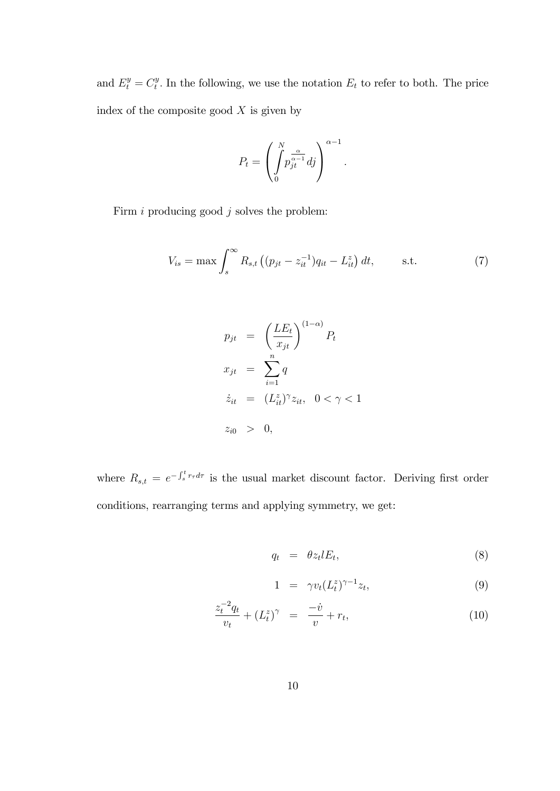and  $E_t^y = C_t^y$  $t_t^y$ . In the following, we use the notation  $E_t$  to refer to both. The price index of the composite good  $X$  is given by

$$
P_t = \left(\int\limits_0^N p_{jt}^{\frac{\alpha}{\alpha-1}} df\right)^{\alpha-1}
$$

Firm  $i$  producing good  $j$  solves the problem:

$$
V_{is} = \max \int_{s}^{\infty} R_{s,t} \left( (p_{jt} - z_{it}^{-1}) q_{it} - L_{it}^{z} \right) dt, \qquad \text{s.t.} \tag{7}
$$

:

$$
p_{jt} = \left(\frac{LE_t}{x_{jt}}\right)^{(1-\alpha)} P_t
$$
  
\n
$$
x_{jt} = \sum_{i=1}^{n} q
$$
  
\n
$$
\dot{z}_{it} = (L_{it}^z)^{\gamma} z_{it}, \quad 0 < \gamma < 1
$$
  
\n
$$
z_{i0} > 0,
$$

where  $R_{s,t} = e^{-\int_s^t r_{\tau} d\tau}$  is the usual market discount factor. Deriving first order conditions, rearranging terms and applying symmetry, we get:

$$
q_t = \theta z_t l E_t, \tag{8}
$$

$$
1 = \gamma v_t (L_t^z)^{\gamma - 1} z_t, \tag{9}
$$

$$
\frac{z_t^{-2}q_t}{v_t} + (L_t^z)^\gamma = \frac{-\dot{v}}{v} + r_t,\tag{10}
$$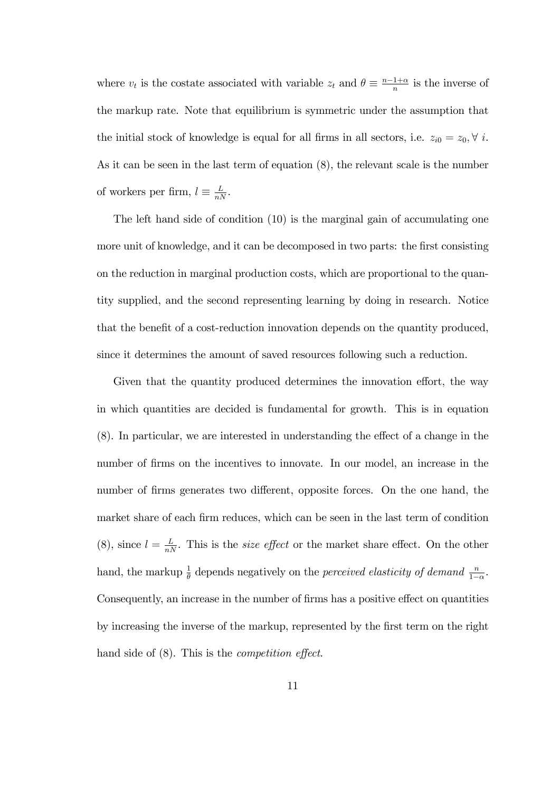where  $v_t$  is the costate associated with variable  $z_t$  and  $\theta \equiv \frac{n-1+\alpha}{n}$  is the inverse of the markup rate. Note that equilibrium is symmetric under the assumption that the initial stock of knowledge is equal for all firms in all sectors, i.e.  $z_{i0} = z_0, \forall i$ . As it can be seen in the last term of equation (8), the relevant scale is the number of workers per firm,  $l \equiv \frac{L}{nN}$ .

The left hand side of condition (10) is the marginal gain of accumulating one more unit of knowledge, and it can be decomposed in two parts: the first consisting on the reduction in marginal production costs, which are proportional to the quantity supplied, and the second representing learning by doing in research. Notice that the benefit of a cost-reduction innovation depends on the quantity produced, since it determines the amount of saved resources following such a reduction.

Given that the quantity produced determines the innovation effort, the way in which quantities are decided is fundamental for growth. This is in equation  $(8)$ . In particular, we are interested in understanding the effect of a change in the number of firms on the incentives to innovate. In our model, an increase in the number of firms generates two different, opposite forces. On the one hand, the market share of each firm reduces, which can be seen in the last term of condition (8), since  $l = \frac{L}{nN}$ . This is the *size effect* or the market share effect. On the other hand, the markup  $\frac{1}{\theta}$  depends negatively on the *perceived elasticity of demand*  $\frac{n}{1-\alpha}$ . Consequently, an increase in the number of firms has a positive effect on quantities by increasing the inverse of the markup, represented by the Örst term on the right hand side of  $(8)$ . This is the *competition effect*.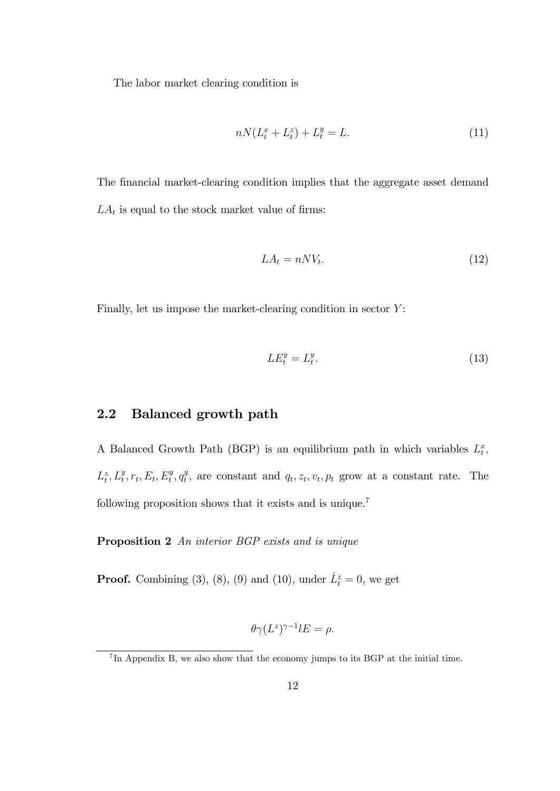The labor market clearing condition is

$$
nN(L_t^x + L_t^z) + L_t^y = L.
$$
\n(11)

The financial market-clearing condition implies that the aggregate asset demand  $LA_t$  is equal to the stock market value of firms:

$$
LA_t = nNV_t. \tag{12}
$$

Finally, let us impose the market-clearing condition in sector  $Y$ :

$$
LE_t^y = L_t^y. \tag{13}
$$

#### 2.2 Balanced growth path

A Balanced Growth Path (BGP) is an equilibrium path in which variables  $L_t^x$ ,  $L_t^z, L_t^y, r_t, E_t, E_t^y, q_t^y$  $t<sup>y</sup>$ , are constant and  $q_t, z_t, v_t, p_t$  grow at a constant rate. The following proposition shows that it exists and is unique.<sup>7</sup>

Proposition 2 An interior BGP exists and is unique

**Proof.** Combining (3), (8), (9) and (10), under  $\dot{L}_t^z = 0$ , we get

$$
\theta \gamma (L^z)^{\gamma -1} lE = \rho.
$$

<sup>&</sup>lt;sup>7</sup>In Appendix B, we also show that the economy jumps to its BGP at the initial time.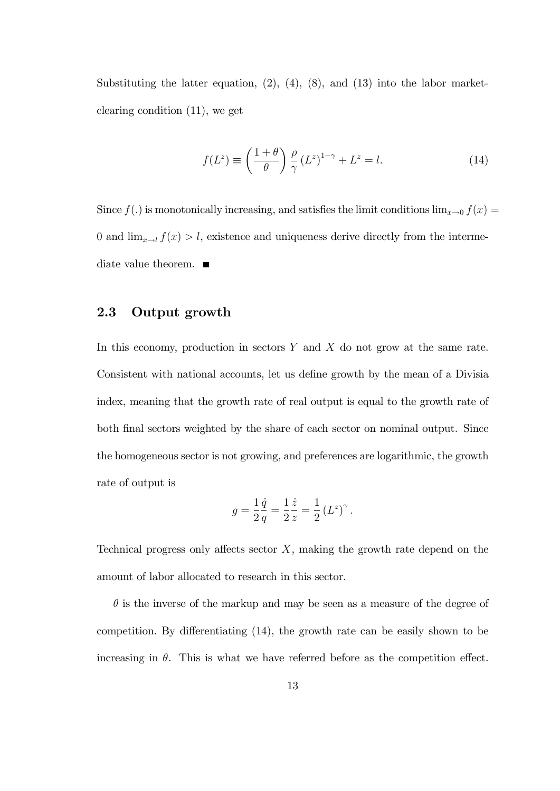Substituting the latter equation,  $(2)$ ,  $(4)$ ,  $(8)$ , and  $(13)$  into the labor marketclearing condition (11), we get

$$
f(L^z) \equiv \left(\frac{1+\theta}{\theta}\right) \frac{\rho}{\gamma} (L^z)^{1-\gamma} + L^z = l. \tag{14}
$$

Since  $f(.)$  is monotonically increasing, and satisfies the limit conditions  $\lim_{x\to 0} f(x) =$ 0 and  $\lim_{x\to l} f(x) > l$ , existence and uniqueness derive directly from the intermediate value theorem.  $\blacksquare$ 

#### 2.3 Output growth

In this economy, production in sectors  $Y$  and  $X$  do not grow at the same rate. Consistent with national accounts, let us define growth by the mean of a Divisia index, meaning that the growth rate of real output is equal to the growth rate of both final sectors weighted by the share of each sector on nominal output. Since the homogeneous sector is not growing, and preferences are logarithmic, the growth rate of output is

$$
g = \frac{1}{2}\frac{\dot{q}}{q} = \frac{1}{2}\frac{\dot{z}}{z} = \frac{1}{2} (L^z)^{\gamma}.
$$

Technical progress only affects sector  $X$ , making the growth rate depend on the amount of labor allocated to research in this sector.

 $\theta$  is the inverse of the markup and may be seen as a measure of the degree of competition. By differentiating  $(14)$ , the growth rate can be easily shown to be increasing in  $\theta$ . This is what we have referred before as the competition effect.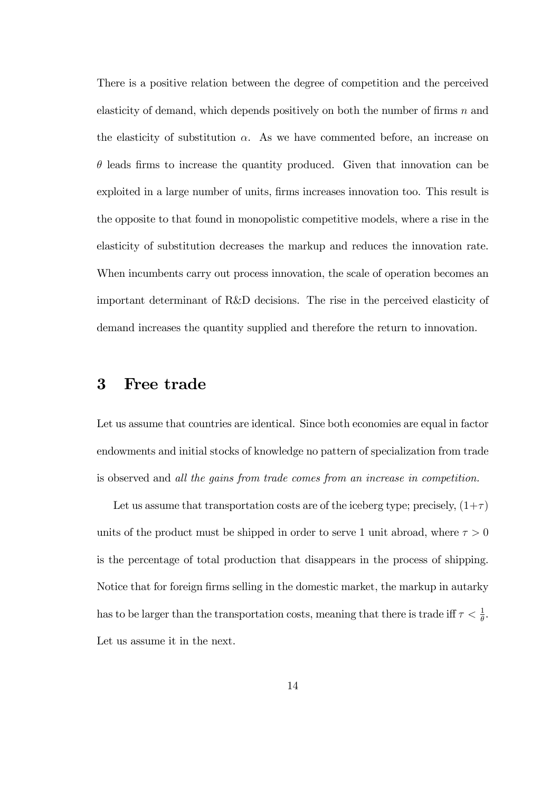There is a positive relation between the degree of competition and the perceived elasticity of demand, which depends positively on both the number of firms  $n$  and the elasticity of substitution  $\alpha$ . As we have commented before, an increase on  $\theta$  leads firms to increase the quantity produced. Given that innovation can be exploited in a large number of units, firms increases innovation too. This result is the opposite to that found in monopolistic competitive models, where a rise in the elasticity of substitution decreases the markup and reduces the innovation rate. When incumbents carry out process innovation, the scale of operation becomes an important determinant of R&D decisions. The rise in the perceived elasticity of demand increases the quantity supplied and therefore the return to innovation.

### 3 Free trade

Let us assume that countries are identical. Since both economies are equal in factor endowments and initial stocks of knowledge no pattern of specialization from trade is observed and all the gains from trade comes from an increase in competition.

Let us assume that transportation costs are of the iceberg type; precisely,  $(1+\tau)$ units of the product must be shipped in order to serve 1 unit abroad, where  $\tau > 0$ is the percentage of total production that disappears in the process of shipping. Notice that for foreign firms selling in the domestic market, the markup in autarky has to be larger than the transportation costs, meaning that there is trade iff  $\tau < \frac{1}{\theta}$ . Let us assume it in the next.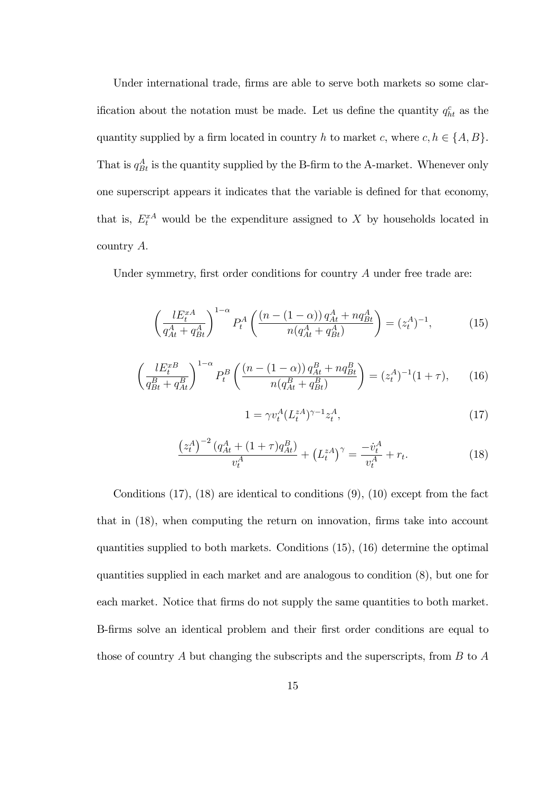Under international trade, firms are able to serve both markets so some clarification about the notation must be made. Let us define the quantity  $q_{ht}^c$  as the quantity supplied by a firm located in country h to market c, where  $c, h \in \{A, B\}.$ That is  $q_{Bt}^A$  is the quantity supplied by the B-firm to the A-market. Whenever only one superscript appears it indicates that the variable is deÖned for that economy, that is,  $E_t^{xA}$  would be the expenditure assigned to X by households located in country A:

Under symmetry, first order conditions for country  $A$  under free trade are:

$$
\left(\frac{lE_t^{xA}}{q_{At}^A + q_{Bt}^A}\right)^{1-\alpha} P_t^A \left(\frac{\left(n - (1 - \alpha)\right)q_{At}^A + nq_{Bt}^A}{n(q_{At}^A + q_{Bt}^A)}\right) = (z_t^A)^{-1},\tag{15}
$$

$$
\left(\frac{lE_t^{xB}}{q_{Bt}^B + q_{At}^B}\right)^{1-\alpha} P_t^B \left(\frac{\left(n - (1 - \alpha)\right)q_{At}^B + nq_{Bt}^B}{n(q_{At}^B + q_{Bt}^B)}\right) = (z_t^A)^{-1}(1 + \tau),\tag{16}
$$

$$
1 = \gamma v_t^A (L_t^{zA})^{\gamma - 1} z_t^A,\tag{17}
$$

$$
\frac{\left(z_t^A\right)^{-2} \left(q_{At}^A + (1+\tau)q_{At}^B\right)}{v_t^A} + \left(L_t^{zA}\right)^\gamma = \frac{-\dot{v}_t^A}{v_t^A} + r_t. \tag{18}
$$

Conditions  $(17)$ ,  $(18)$  are identical to conditions  $(9)$ ,  $(10)$  except from the fact that in  $(18)$ , when computing the return on innovation, firms take into account quantities supplied to both markets. Conditions (15), (16) determine the optimal quantities supplied in each market and are analogous to condition (8), but one for each market. Notice that firms do not supply the same quantities to both market. B-Örms solve an identical problem and their Örst order conditions are equal to those of country A but changing the subscripts and the superscripts, from  $B$  to  $A$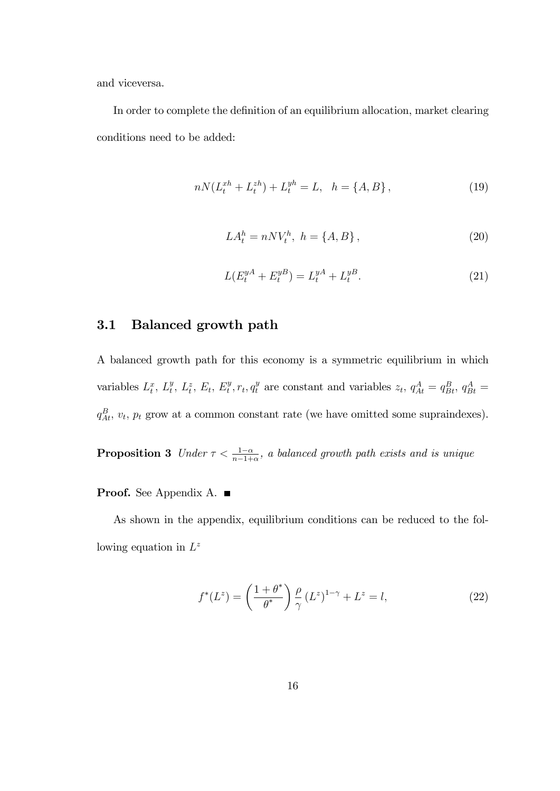and viceversa.

In order to complete the definition of an equilibrium allocation, market clearing conditions need to be added:

$$
nN(L_t^{xh} + L_t^{zh}) + L_t^{yh} = L, \quad h = \{A, B\},\tag{19}
$$

$$
LA_t^h = nNV_t^h, \ h = \{A, B\},\tag{20}
$$

$$
L(E_t^{yA} + E_t^{yB}) = L_t^{yA} + L_t^{yB}.
$$
\n(21)

#### 3.1 Balanced growth path

A balanced growth path for this economy is a symmetric equilibrium in which variables  $L_t^x$ ,  $L_t^y$ ,  $L_t^z$ ,  $E_t$ ,  $E_t^y$ ,  $r_t$ ,  $q_t^y$  are constant and variables  $z_t$ ,  $q_{At}^A = q_{Bt}^B$ ,  $q_{Bt}^A =$  $q_{At}^{B}$ ,  $v_{t}$ ,  $p_{t}$  grow at a common constant rate (we have omitted some supraindexes).

**Proposition 3** Under  $\tau < \frac{1-\alpha}{n-1+\alpha}$ , a balanced growth path exists and is unique

Proof. See Appendix A. ■

As shown in the appendix, equilibrium conditions can be reduced to the following equation in  $L^z$ 

$$
f^*(L^z) = \left(\frac{1+\theta^*}{\theta^*}\right) \frac{\rho}{\gamma} (L^z)^{1-\gamma} + L^z = l,\tag{22}
$$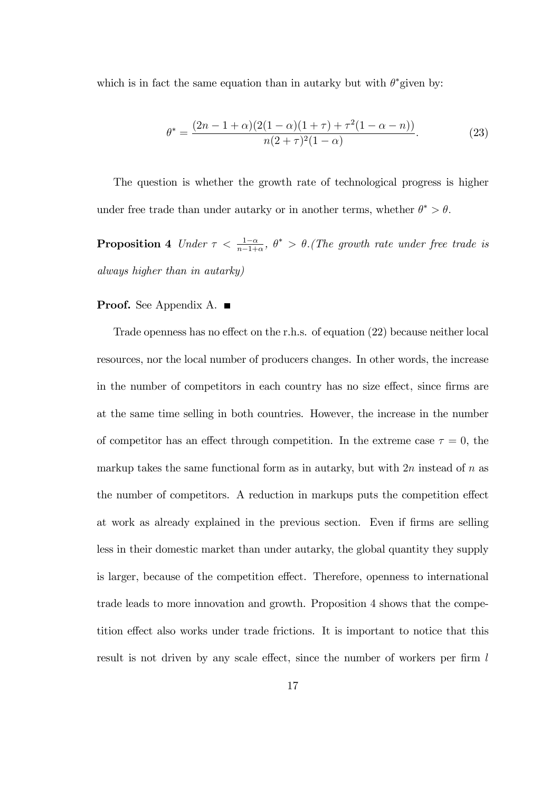which is in fact the same equation than in autarky but with  $\theta^*$  given by:

$$
\theta^* = \frac{(2n - 1 + \alpha)(2(1 - \alpha)(1 + \tau) + \tau^2(1 - \alpha - n))}{n(2 + \tau)^2(1 - \alpha)}.
$$
\n(23)

The question is whether the growth rate of technological progress is higher under free trade than under autarky or in another terms, whether  $\theta^* > \theta$ .

**Proposition 4** Under  $\tau < \frac{1-\alpha}{n-1+\alpha}$ ,  $\theta^* > \theta$ . (The growth rate under free trade is always higher than in autarky)

#### **Proof.** See Appendix A. ■

 $\overline{1}$ 

Trade openness has no effect on the r.h.s. of equation  $(22)$  because neither local resources, nor the local number of producers changes. In other words, the increase in the number of competitors in each country has no size effect, since firms are at the same time selling in both countries. However, the increase in the number of competitor has an effect through competition. In the extreme case  $\tau = 0$ , the markup takes the same functional form as in autarky, but with  $2n$  instead of n as the number of competitors. A reduction in markups puts the competition effect at work as already explained in the previous section. Even if firms are selling less in their domestic market than under autarky, the global quantity they supply is larger, because of the competition effect. Therefore, openness to international trade leads to more innovation and growth. Proposition 4 shows that the competition effect also works under trade frictions. It is important to notice that this result is not driven by any scale effect, since the number of workers per firm  $l$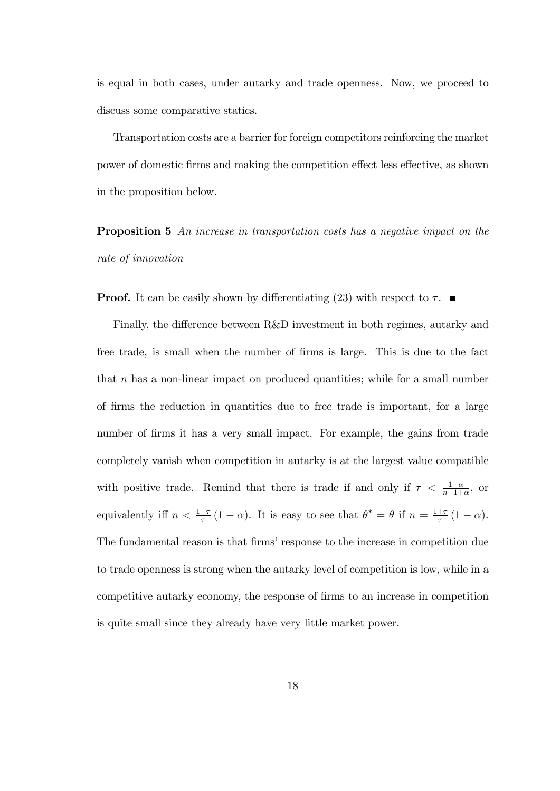is equal in both cases, under autarky and trade openness. Now, we proceed to discuss some comparative statics.

Transportation costs are a barrier for foreign competitors reinforcing the market power of domestic firms and making the competition effect less effective, as shown in the proposition below.

Proposition 5 An increase in transportation costs has a negative impact on the rate of innovation

**Proof.** It can be easily shown by differentiating (23) with respect to  $\tau$ .

Finally, the difference between R&D investment in both regimes, autarky and free trade, is small when the number of firms is large. This is due to the fact that  $n$  has a non-linear impact on produced quantities; while for a small number of Örms the reduction in quantities due to free trade is important, for a large number of firms it has a very small impact. For example, the gains from trade completely vanish when competition in autarky is at the largest value compatible with positive trade. Remind that there is trade if and only if  $\tau < \frac{1-\alpha}{n-1+\alpha}$ , or equivalently iff  $n < \frac{1+\tau}{\tau}(1-\alpha)$ . It is easy to see that  $\theta^* = \theta$  if  $n = \frac{1+\tau}{\tau}$  $rac{+\tau}{\tau}(1-\alpha).$ The fundamental reason is that firms' response to the increase in competition due to trade openness is strong when the autarky level of competition is low, while in a competitive autarky economy, the response of Örms to an increase in competition is quite small since they already have very little market power.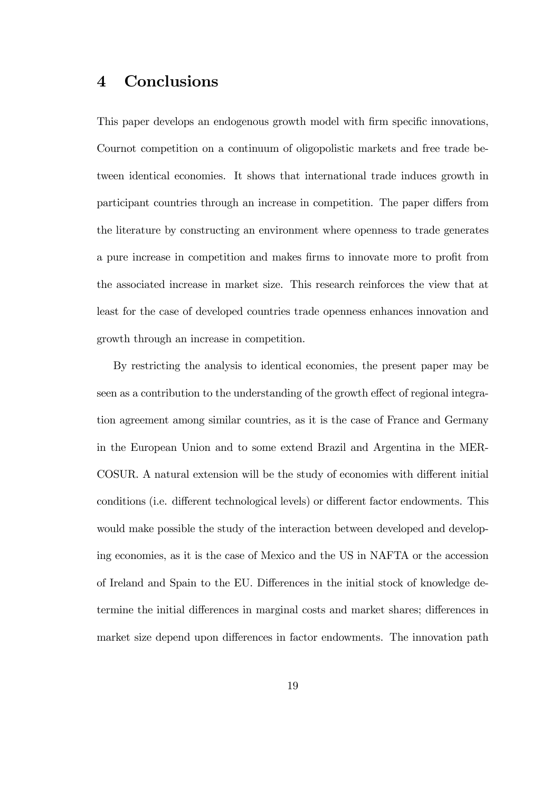# 4 Conclusions

This paper develops an endogenous growth model with firm specific innovations, Cournot competition on a continuum of oligopolistic markets and free trade between identical economies. It shows that international trade induces growth in participant countries through an increase in competition. The paper differs from the literature by constructing an environment where openness to trade generates a pure increase in competition and makes firms to innovate more to profit from the associated increase in market size. This research reinforces the view that at least for the case of developed countries trade openness enhances innovation and growth through an increase in competition.

By restricting the analysis to identical economies, the present paper may be seen as a contribution to the understanding of the growth effect of regional integration agreement among similar countries, as it is the case of France and Germany in the European Union and to some extend Brazil and Argentina in the MER-COSUR. A natural extension will be the study of economies with different initial conditions (i.e. different technological levels) or different factor endowments. This would make possible the study of the interaction between developed and developing economies, as it is the case of Mexico and the US in NAFTA or the accession of Ireland and Spain to the EU. Differences in the initial stock of knowledge determine the initial differences in marginal costs and market shares; differences in market size depend upon differences in factor endowments. The innovation path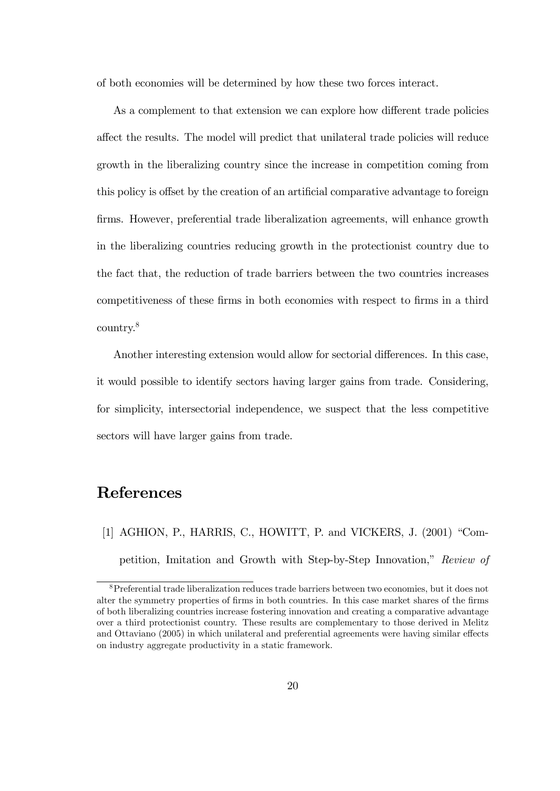of both economies will be determined by how these two forces interact.

As a complement to that extension we can explore how different trade policies a§ect the results. The model will predict that unilateral trade policies will reduce growth in the liberalizing country since the increase in competition coming from this policy is offset by the creation of an artificial comparative advantage to foreign Örms. However, preferential trade liberalization agreements, will enhance growth in the liberalizing countries reducing growth in the protectionist country due to the fact that, the reduction of trade barriers between the two countries increases competitiveness of these Örms in both economies with respect to Örms in a third country.<sup>8</sup>

Another interesting extension would allow for sectorial differences. In this case, it would possible to identify sectors having larger gains from trade. Considering, for simplicity, intersectorial independence, we suspect that the less competitive sectors will have larger gains from trade.

# References

[1] AGHION, P., HARRIS, C., HOWITT, P. and VICKERS, J.  $(2001)$  "Competition, Imitation and Growth with Step-by-Step Innovation," Review of

<sup>8</sup>Preferential trade liberalization reduces trade barriers between two economies, but it does not alter the symmetry properties of firms in both countries. In this case market shares of the firms of both liberalizing countries increase fostering innovation and creating a comparative advantage over a third protectionist country. These results are complementary to those derived in Melitz and Ottaviano (2005) in which unilateral and preferential agreements were having similar effects on industry aggregate productivity in a static framework.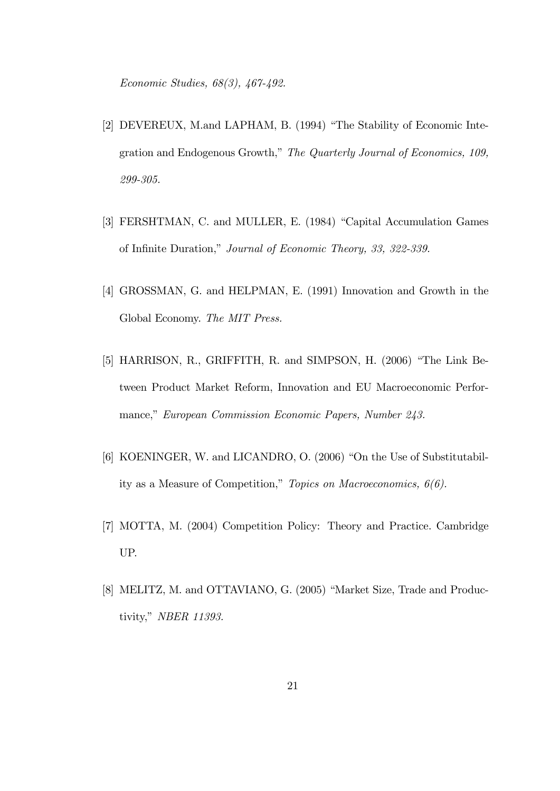Economic Studies, 68(3), 467-492.

- [2] DEVEREUX, M.and LAPHAM, B. (1994) "The Stability of Economic Integration and Endogenous Growth," The Quarterly Journal of Economics, 109, 299-305.
- [3] FERSHTMAN, C. and MULLER, E. (1984) "Capital Accumulation Games of Infinite Duration," Journal of Economic Theory, 33, 322-339.
- [4] GROSSMAN, G. and HELPMAN, E. (1991) Innovation and Growth in the Global Economy. The MIT Press.
- [5] HARRISON, R., GRIFFITH, R. and SIMPSON, H.  $(2006)$  "The Link Between Product Market Reform, Innovation and EU Macroeconomic Performance," European Commission Economic Papers, Number 243.
- [6] KOENINGER, W. and LICANDRO, O. (2006) "On the Use of Substitutability as a Measure of Competition," Topics on Macroeconomics,  $6(6)$ .
- [7] MOTTA, M. (2004) Competition Policy: Theory and Practice. Cambridge UP.
- [8] MELITZ, M. and OTTAVIANO, G. (2005) "Market Size, Trade and Productivity," NBER 11393.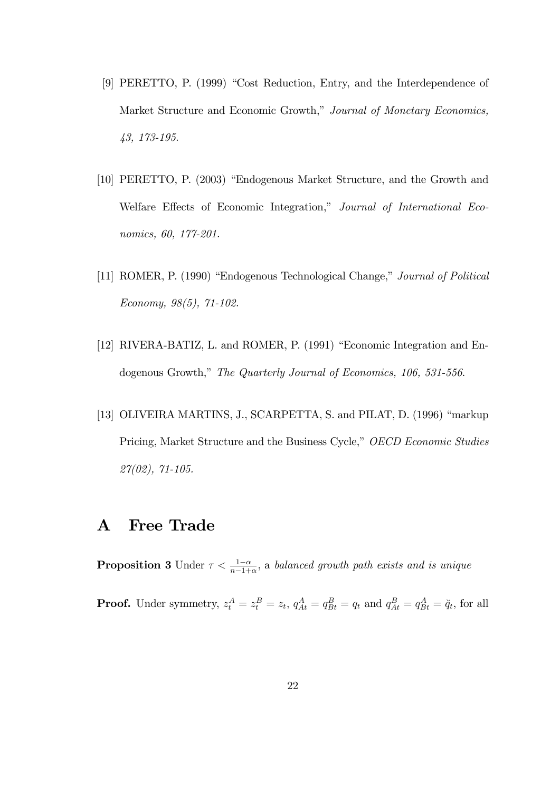- [9] PERETTO, P. (1999) "Cost Reduction, Entry, and the Interdependence of Market Structure and Economic Growth," Journal of Monetary Economics, 43, 173-195.
- [10] PERETTO, P. (2003) "Endogenous Market Structure, and the Growth and Welfare Effects of Economic Integration," Journal of International Economics, 60, 177-201.
- [11] ROMER, P. (1990) "Endogenous Technological Change," Journal of Political Economy, 98(5), 71-102.
- [12] RIVERA-BATIZ, L. and ROMER, P. (1991) "Economic Integration and Endogenous Growth," The Quarterly Journal of Economics, 106, 531-556.
- [13] OLIVEIRA MARTINS, J., SCARPETTA, S. and PILAT, D. (1996) "markup Pricing, Market Structure and the Business Cycle," OECD Economic Studies 27(02), 71-105.

# A Free Trade

**Proposition 3** Under  $\tau < \frac{1-\alpha}{n-1+\alpha}$ , a balanced growth path exists and is unique **Proof.** Under symmetry,  $z_t^A = z_t^B = z_t$ ,  $q_{At}^A = q_{Bt}^B = q_t$  and  $q_{At}^B = q_{Bt}^A = \breve{q}_t$ , for all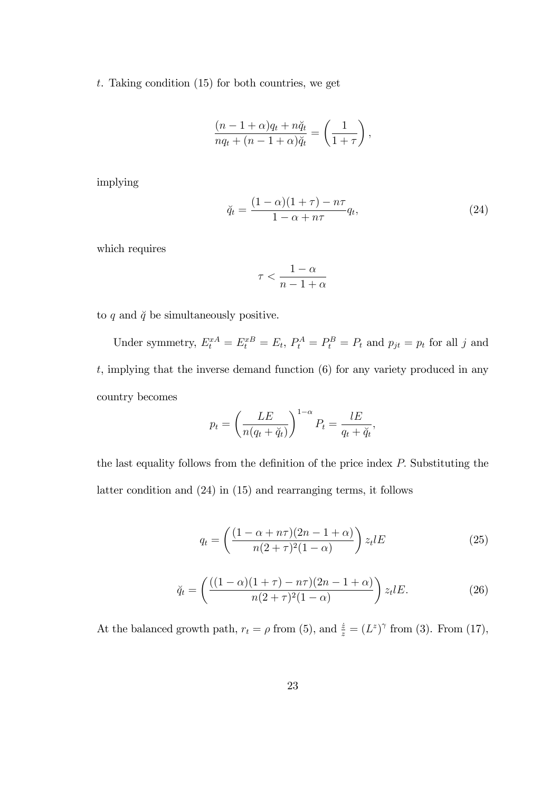t. Taking condition  $(15)$  for both countries, we get

$$
\frac{(n-1+\alpha)q_t + n\breve{q}_t}{nq_t + (n-1+\alpha)\breve{q}_t} = \left(\frac{1}{1+\tau}\right),\,
$$

implying

$$
\breve{q}_t = \frac{(1-\alpha)(1+\tau) - n\tau}{1-\alpha+n\tau}q_t,\tag{24}
$$

which requires

$$
\tau < \frac{1-\alpha}{n-1+\alpha}
$$

to  $q$  and  $\check{q}$  be simultaneously positive.

Under symmetry,  $E_t^{xA} = E_t^{xB} = E_t$ ,  $P_t^A = P_t^B = P_t$  and  $p_{jt} = p_t$  for all j and  $t$ , implying that the inverse demand function  $(6)$  for any variety produced in any country becomes

$$
p_t = \left(\frac{LE}{n(q_t + \breve{q}_t)}\right)^{1-\alpha} P_t = \frac{lE}{q_t + \breve{q}_t},
$$

the last equality follows from the definition of the price index  $P$ . Substituting the latter condition and (24) in (15) and rearranging terms, it follows

$$
q_t = \left(\frac{(1 - \alpha + n\tau)(2n - 1 + \alpha)}{n(2 + \tau)^2 (1 - \alpha)}\right) z_t l E \tag{25}
$$

$$
\breve{q}_t = \left( \frac{((1-\alpha)(1+\tau) - n\tau)(2n-1+\alpha)}{n(2+\tau)^2(1-\alpha)} \right) z_t l E. \tag{26}
$$

At the balanced growth path,  $r_t = \rho$  from (5), and  $\frac{\dot{z}}{z} = (L^z)^\gamma$  from (3). From (17),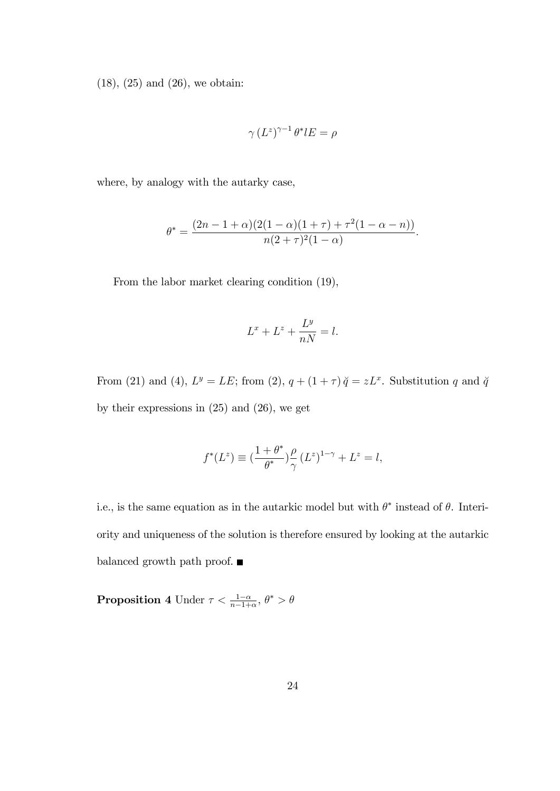(18), (25) and (26), we obtain:

$$
\gamma \left( L^z \right)^{\gamma - 1} \theta^* l E = \rho
$$

where, by analogy with the autarky case,

$$
\theta^* = \frac{(2n-1+\alpha)(2(1-\alpha)(1+\tau)+\tau^2(1-\alpha-n))}{n(2+\tau)^2(1-\alpha)}.
$$

From the labor market clearing condition (19),

$$
L^x + L^z + \frac{L^y}{nN} = l.
$$

From (21) and (4),  $L^y = LE$ ; from (2),  $q + (1 + \tau) \ddot{q} = zL^x$ . Substitution q and  $\ddot{q}$ by their expressions in (25) and (26), we get

$$
f^*(L^z) \equiv \left(\frac{1+\theta^*}{\theta^*}\right)^{\rho}_{\gamma} (L^z)^{1-\gamma} + L^z = l,
$$

i.e., is the same equation as in the autarkic model but with  $\theta^*$  instead of  $\theta$ . Interiority and uniqueness of the solution is therefore ensured by looking at the autarkic balanced growth path proof.  $\blacksquare$ 

**Proposition 4** Under  $\tau < \frac{1-\alpha}{n-1+\alpha}, \theta^* > \theta$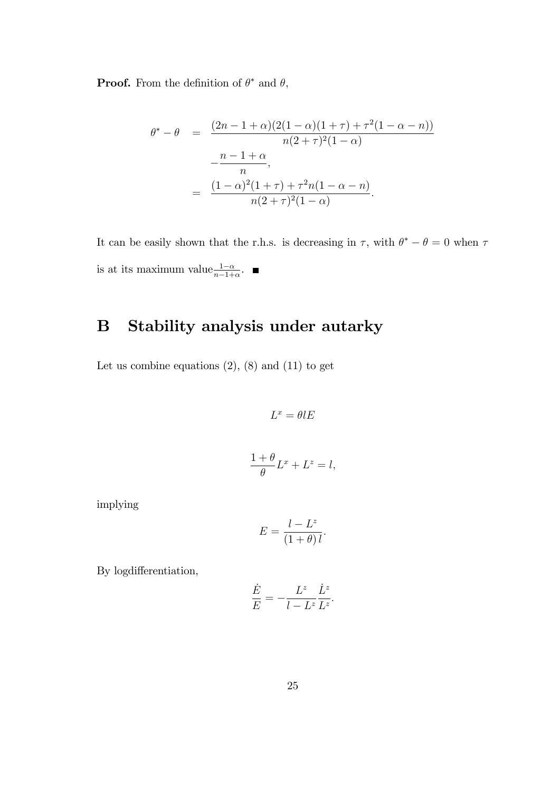**Proof.** From the definition of  $\theta^*$  and  $\theta$ ,

$$
\theta^* - \theta = \frac{(2n - 1 + \alpha)(2(1 - \alpha)(1 + \tau) + \tau^2(1 - \alpha - n))}{n(2 + \tau)^2(1 - \alpha)}
$$

$$
-\frac{n - 1 + \alpha}{n},
$$

$$
= \frac{(1 - \alpha)^2(1 + \tau) + \tau^2 n(1 - \alpha - n)}{n(2 + \tau)^2(1 - \alpha)}.
$$

It can be easily shown that the r.h.s. is decreasing in  $\tau$ , with  $\theta^* - \theta = 0$  when  $\tau$ is at its maximum value $\frac{1-\alpha}{n-1+\alpha}$ .

# B Stability analysis under autarky

Let us combine equations  $(2)$ ,  $(8)$  and  $(11)$  to get

 $L^x = \theta lE$ 

$$
\frac{1+\theta}{\theta}L^x + L^z = l,
$$

implying

$$
E = \frac{l - L^z}{(1 + \theta) l}.
$$

By logdifferentiation,

$$
\frac{\dot{E}}{E} = -\frac{L^z}{l - L^z} \frac{\dot{L}^z}{L^z}.
$$